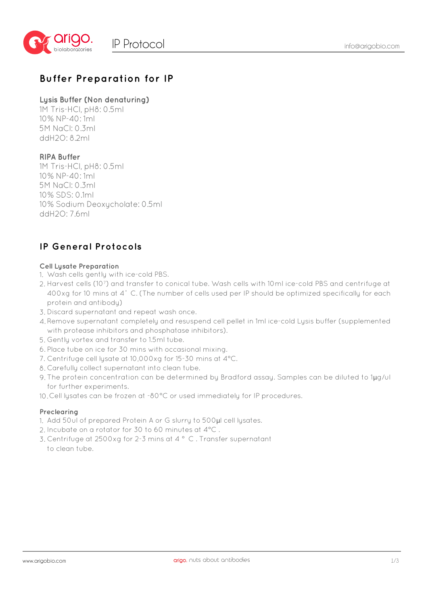

## **Buffer Preparation for IP**

#### **Lysis Buffer (Non denaturing)**

1M Tris-HCl, pH8: 0.5ml 10% NP-40: 1ml 5M NaCl: 0.3ml ddH2O: 8.2ml

#### **RIPA Buffer**

1M Tris-HCl, pH8: 0.5ml 10% NP-40: 1ml 5M NaCl: 0.3ml 10% SDS: 0.1ml 10% Sodium Deoxycholate: 0.5ml ddH2O: 7.6ml

## **IP General Protocols**

#### **Cell Lysate Preparation**

- Wash cells gently with ice-cold PBS. 1.
- 2. Harvest cells (10<sup>7</sup>) and transfer to conical tube. Wash cells with 10ml ice-cold PBS and centrifuge at 400xg for 10 mins at 4° C. (The number of cells used per IP should be optimized specifically for each protein and antibody)
- 3. Discard supernatant and repeat wash once.
- 4. Remove supernatant completely and resuspend cell pellet in 1ml ice-cold Lysis buffer (supplemented with protease inhibitors and phosphatase inhibitors).
- Gently vortex and transfer to 1.5ml tube. 5.
- 6. Place tube on ice for 30 mins with occasional mixing.
- 7. Centrifuge cell lysate at 10,000xg for 15-30 mins at 4°C.
- 8. Carefully collect supernatant into clean tube.
- 9. The protein concentration can be determined by Bradford assay. Samples can be diluted to 1 $\mu$ g/ul for further experiments.
- Cell lysates can be frozen at -80°C or used immediately for IP procedures. 10.

#### **Preclearing**

- 1. Add 50ul of prepared Protein A or G slurry to 500µl cell lysates.
- 2. Incubate on a rotator for 30 to 60 minutes at 4°C.
- Centrifuge at 2500xg for 2-3 mins at 4 ° C . Transfer supernatant 3. to clean tube.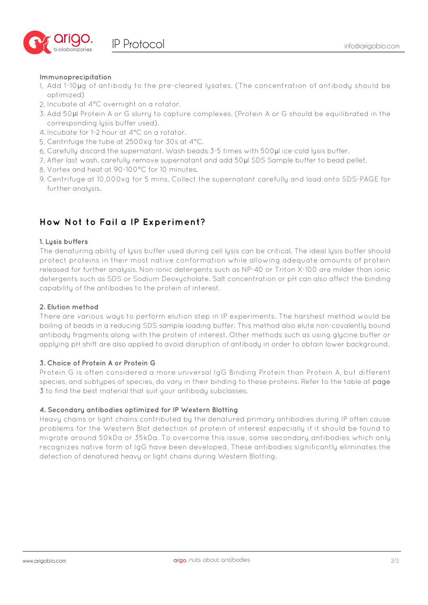

#### **Immunoprecipitation**

- Add 1-10μg of antibody to the pre-cleared lysates. (The concentration of antibody should be 1. optimized)
- 2. Incubate at 4°C overnight on a rotator.
- Add 50μl Protein A or G slurry to capture complexes. (Protein A or G should be equilibrated in the 3. corresponding lusis buffer used).
- 4. Incubate for 1-2 hour at 4°C on a rotator.
- 5. Centrifuge the tube at 2500xg for 30s at 4°C.
- Carefully discard the supernatant. Wash beads 3-5 times with 500μl ice-cold lysis buffer. 6.
- After last wash, carefully remove supernatant and add 50μl SDS Sample buffer to bead pellet. 7.
- 8. Vortex and heat at 90-100°C for 10 minutes.
- 9. Centrifuge at 10,000xg for 5 mins. Collect the supernatant carefully and load onto SDS-PAGE for further analusis.

## **How Not to Fail a IP Experiment?**

#### **1. Lysis buffers**

The denaturing ability of lysis buffer used during cell lysis can be critical. The ideal lysis buffer should protect proteins in their most native conformation while allowing adequate amounts of protein released for further analysis. Non-ionic detergents such as NP-40 or Triton X-100 are milder than ionic detergents such as SDS or Sodium Deoxycholate. Salt concentration or pH can also affect the binding capability of the antibodies to the protein of interest.

#### **2. Elution method**

There are various ways to perform elution step in IP experiments. The harshest method would be boiling of beads in a reducing SDS sample loading buffer. This method also elute non-covalently bound antibody fragments along with the protein of interest. Other methods such as using glycine buffer or applying pH shift are also applied to avoid disruption of antibody in order to obtain lower background.

#### **3. Choice of Protein A or Protein G**

Protein G is often considered a more universal IgG Binding Protein than Protein A, but different species, and subtypes of species, do vary in their binding to these proteins. Refer to the table at page 3 to find the best material that suit your antibody subclasses.

#### **4. Secondary antibodies optimized for IP Western Blotting**

Heavy chains or light chains contributed by the denatured primary antibodies during IP often cause problems for the Western Blot detection of protein of interest especially if it should be found to migrate around 50kDa or 35kDa. To overcome this issue, some secondary antibodies which only recognizes native form of IgG have been developed. These antibodies significantly eliminates the detection of denatured heavy or light chains during Western Blotting.